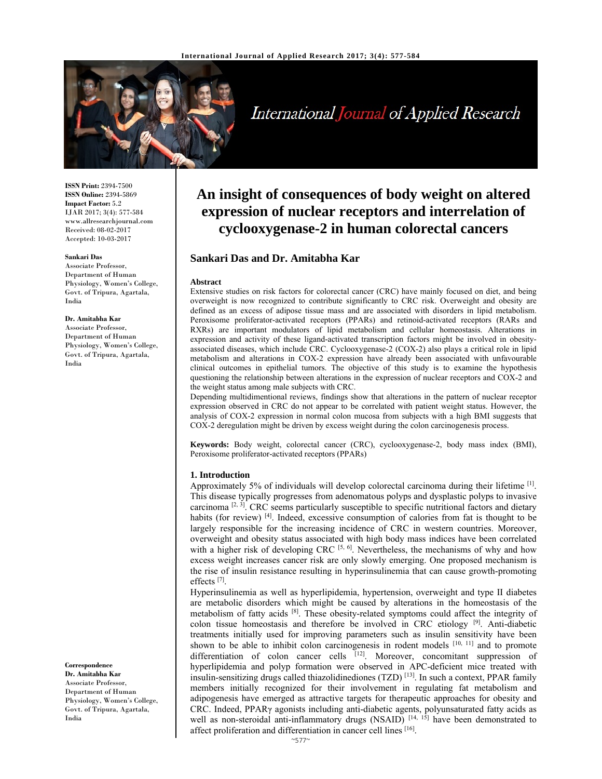

# International Journal of Applied Research

**ISSN Print:** 2394-7500 **ISSN Online:** 2394-5869 **Impact Factor:** 5.2 IJAR 2017; 3(4): 577-584 www.allresearchjournal.com Received: 08-02-2017 Accepted: 10-03-2017

#### **Sankari Das**

Associate Professor, Department of Human Physiology, Women's College, Govt. of Tripura, Agartala, India

#### **Dr. Amitabha Kar**

Associate Professor, Department of Human Physiology, Women's College, Govt. of Tripura, Agartala, India

**Correspondence Dr. Amitabha Kar** 

Associate Professor, Department of Human Physiology, Women's College, Govt. of Tripura, Agartala, India

# **An insight of consequences of body weight on altered expression of nuclear receptors and interrelation of cyclooxygenase-2 in human colorectal cancers**

# **Sankari Das and Dr. Amitabha Kar**

#### **Abstract**

Extensive studies on risk factors for colorectal cancer (CRC) have mainly focused on diet, and being overweight is now recognized to contribute significantly to CRC risk. Overweight and obesity are defined as an excess of adipose tissue mass and are associated with disorders in lipid metabolism. Peroxisome proliferator-activated receptors (PPARs) and retinoid-activated receptors (RARs and RXRs) are important modulators of lipid metabolism and cellular homeostasis. Alterations in expression and activity of these ligand-activated transcription factors might be involved in obesityassociated diseases, which include CRC. Cyclooxygenase-2 (COX-2) also plays a critical role in lipid metabolism and alterations in COX-2 expression have already been associated with unfavourable clinical outcomes in epithelial tumors. The objective of this study is to examine the hypothesis questioning the relationship between alterations in the expression of nuclear receptors and COX-2 and the weight status among male subjects with CRC.

Depending multidimentional reviews, findings show that alterations in the pattern of nuclear receptor expression observed in CRC do not appear to be correlated with patient weight status. However, the analysis of COX-2 expression in normal colon mucosa from subjects with a high BMI suggests that COX-2 deregulation might be driven by excess weight during the colon carcinogenesis process.

**Keywords:** Body weight, colorectal cancer (CRC), cyclooxygenase-2, body mass index (BMI), Peroxisome proliferator-activated receptors (PPARs)

#### **1. Introduction**

Approximately 5% of individuals will develop colorectal carcinoma during their lifetime [1]. This disease typically progresses from adenomatous polyps and dysplastic polyps to invasive carcinoma  $^{[2, 3]}$ . CRC seems particularly susceptible to specific nutritional factors and dietary habits (for review)  $\left|^{4}\right|$ . Indeed, excessive consumption of calories from fat is thought to be largely responsible for the increasing incidence of CRC in western countries. Moreover, overweight and obesity status associated with high body mass indices have been correlated with a higher risk of developing CRC  $[5, 6]$ . Nevertheless, the mechanisms of why and how excess weight increases cancer risk are only slowly emerging. One proposed mechanism is the rise of insulin resistance resulting in hyperinsulinemia that can cause growth-promoting effects [7].

Hyperinsulinemia as well as hyperlipidemia, hypertension, overweight and type II diabetes are metabolic disorders which might be caused by alterations in the homeostasis of the metabolism of fatty acids [8]. These obesity-related symptoms could affect the integrity of colon tissue homeostasis and therefore be involved in CRC etiology [9]. Anti-diabetic treatments initially used for improving parameters such as insulin sensitivity have been shown to be able to inhibit colon carcinogenesis in rodent models [10, 11] and to promote differentiation of colon cancer cells  $[12]$ . Moreover, concomitant suppression of hyperlipidemia and polyp formation were observed in APC-deficient mice treated with insulin-sensitizing drugs called thiazolidinediones  $(TZD)^{[13]}$ . In such a context, PPAR family members initially recognized for their involvement in regulating fat metabolism and adipogenesis have emerged as attractive targets for therapeutic approaches for obesity and CRC. Indeed, PPARγ agonists including anti-diabetic agents, polyunsaturated fatty acids as well as non-steroidal anti-inflammatory drugs (NSAID)  $[14, 15]$  have been demonstrated to affect proliferation and differentiation in cancer cell lines [16].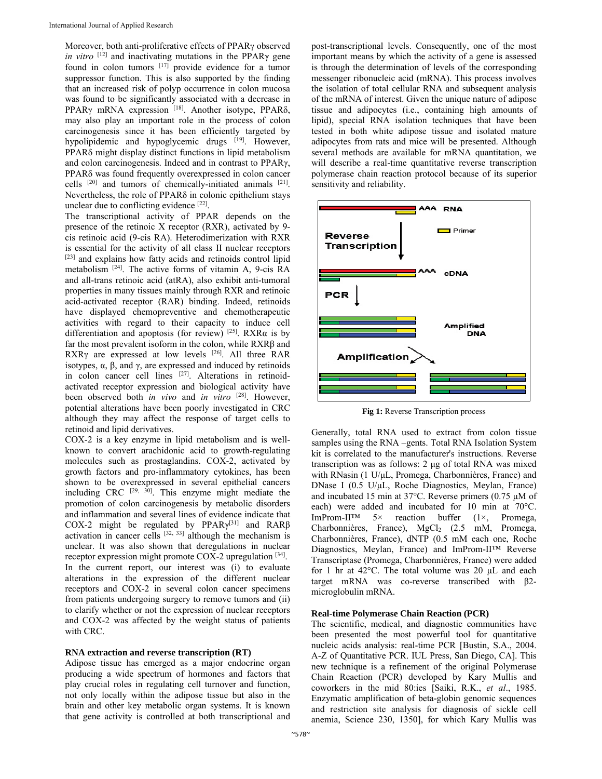Moreover, both anti-proliferative effects of PPARγ observed *in vitro* [12] and inactivating mutations in the PPARγ gene found in colon tumors  $[17]$  provide evidence for a tumor suppressor function. This is also supported by the finding that an increased risk of polyp occurrence in colon mucosa was found to be significantly associated with a decrease in PPARγ mRNA expression [18]. Another isotype, PPARδ, may also play an important role in the process of colon carcinogenesis since it has been efficiently targeted by hypolipidemic and hypoglycemic drugs <sup>[19]</sup>. However, PPARδ might display distinct functions in lipid metabolism and colon carcinogenesis. Indeed and in contrast to PPARγ, PPARδ was found frequently overexpressed in colon cancer cells [20] and tumors of chemically-initiated animals [21]. Nevertheless, the role of PPARδ in colonic epithelium stays unclear due to conflicting evidence [22].

The transcriptional activity of PPAR depends on the presence of the retinoic X receptor (RXR), activated by 9 cis retinoic acid (9-cis RA). Heterodimerization with RXR is essential for the activity of all class II nuclear receptors [23] and explains how fatty acids and retinoids control lipid metabolism [24]. The active forms of vitamin A, 9-cis RA and all-trans retinoic acid (atRA), also exhibit anti-tumoral properties in many tissues mainly through RXR and retinoic acid-activated receptor (RAR) binding. Indeed, retinoids have displayed chemopreventive and chemotherapeutic activities with regard to their capacity to induce cell differentiation and apoptosis (for review)  $[25]$ . RXR $\alpha$  is by far the most prevalent isoform in the colon, while RXRβ and RXRγ are expressed at low levels [26]. All three RAR isotypes, α, β, and γ, are expressed and induced by retinoids in colon cancer cell lines [27]. Alterations in retinoidactivated receptor expression and biological activity have been observed both *in vivo* and *in vitro* [28]. However, potential alterations have been poorly investigated in CRC although they may affect the response of target cells to retinoid and lipid derivatives.

COX-2 is a key enzyme in lipid metabolism and is wellknown to convert arachidonic acid to growth-regulating molecules such as prostaglandins. COX-2, activated by growth factors and pro-inflammatory cytokines, has been shown to be overexpressed in several epithelial cancers including CRC  $[29, 30]$ . This enzyme might mediate the promotion of colon carcinogenesis by metabolic disorders and inflammation and several lines of evidence indicate that COX-2 might be regulated by PPAR $\gamma^{[31]}$  and RAR $\beta$ activation in cancer cells  $[32, 33]$  although the mechanism is unclear. It was also shown that deregulations in nuclear receptor expression might promote COX-2 upregulation [34]. In the current report, our interest was (i) to evaluate alterations in the expression of the different nuclear receptors and COX-2 in several colon cancer specimens from patients undergoing surgery to remove tumors and (ii) to clarify whether or not the expression of nuclear receptors and COX-2 was affected by the weight status of patients with CRC.

#### **RNA extraction and reverse transcription (RT)**

Adipose tissue has emerged as a major endocrine organ producing a wide spectrum of hormones and factors that play crucial roles in regulating cell turnover and function, not only locally within the adipose tissue but also in the brain and other key metabolic organ systems. It is known that gene activity is controlled at both transcriptional and

post-transcriptional levels. Consequently, one of the most important means by which the activity of a gene is assessed is through the determination of levels of the corresponding messenger ribonucleic acid (mRNA). This process involves the isolation of total cellular RNA and subsequent analysis of the mRNA of interest. Given the unique nature of adipose tissue and adipocytes (i.e., containing high amounts of lipid), special RNA isolation techniques that have been tested in both white adipose tissue and isolated mature adipocytes from rats and mice will be presented. Although several methods are available for mRNA quantitation, we will describe a real-time quantitative reverse transcription polymerase chain reaction protocol because of its superior sensitivity and reliability.



**Fig 1:** Reverse Transcription process

Generally, total RNA used to extract from colon tissue samples using the RNA –gents. Total RNA Isolation System kit is correlated to the manufacturer's instructions. Reverse transcription was as follows: 2 μg of total RNA was mixed with RNasin (1 U/μL, Promega, Charbonnières, France) and DNase I (0.5 U/μL, Roche Diagnostics, Meylan, France) and incubated 15 min at 37°C. Reverse primers (0.75 μM of each) were added and incubated for 10 min at 70°C. ImProm-II™ 5× reaction buffer (1×, Promega, Charbonnières, France), MgCl<sub>2</sub> (2.5 mM, Promega, Charbonnières, France), dNTP (0.5 mM each one, Roche Diagnostics, Meylan, France) and ImProm-II™ Reverse Transcriptase (Promega, Charbonnières, France) were added for 1 hr at 42°C. The total volume was 20 μL and each target mRNA was co-reverse transcribed with β2 microglobulin mRNA.

#### **Real-time Polymerase Chain Reaction (PCR)**

The scientific, medical, and diagnostic communities have been presented the most powerful tool for quantitative nucleic acids analysis: real-time PCR [Bustin, S.A., 2004. A-Z of Quantitative PCR. IUL Press, San Diego, CA]. This new technique is a refinement of the original Polymerase Chain Reaction (PCR) developed by Kary Mullis and coworkers in the mid 80:ies [Saiki, R.K., *et al*., 1985. Enzymatic amplification of beta-globin genomic sequences and restriction site analysis for diagnosis of sickle cell anemia, Science 230, 1350], for which Kary Mullis was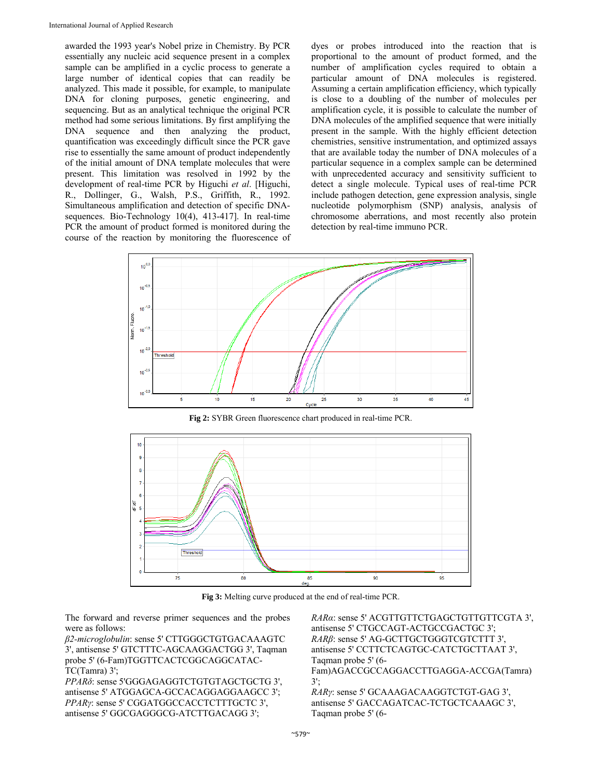awarded the 1993 year's Nobel prize in Chemistry. By PCR essentially any nucleic acid sequence present in a complex sample can be amplified in a cyclic process to generate a large number of identical copies that can readily be analyzed. This made it possible, for example, to manipulate DNA for cloning purposes, genetic engineering, and sequencing. But as an analytical technique the original PCR method had some serious limitations. By first amplifying the DNA sequence and then analyzing the product, quantification was exceedingly difficult since the PCR gave rise to essentially the same amount of product independently of the initial amount of DNA template molecules that were present. This limitation was resolved in 1992 by the development of real-time PCR by Higuchi *et al*. [Higuchi, R., Dollinger, G., Walsh, P.S., Griffith, R., 1992. Simultaneous amplification and detection of specific DNAsequences. Bio-Technology 10(4), 413-417]. In real-time PCR the amount of product formed is monitored during the course of the reaction by monitoring the fluorescence of

dyes or probes introduced into the reaction that is proportional to the amount of product formed, and the number of amplification cycles required to obtain a particular amount of DNA molecules is registered. Assuming a certain amplification efficiency, which typically is close to a doubling of the number of molecules per amplification cycle, it is possible to calculate the number of DNA molecules of the amplified sequence that were initially present in the sample. With the highly efficient detection chemistries, sensitive instrumentation, and optimized assays that are available today the number of DNA molecules of a particular sequence in a complex sample can be determined with unprecedented accuracy and sensitivity sufficient to detect a single molecule. Typical uses of real-time PCR include pathogen detection, gene expression analysis, single nucleotide polymorphism (SNP) analysis, analysis of chromosome aberrations, and most recently also protein detection by real-time immuno PCR.



**Fig 2:** SYBR Green fluorescence chart produced in real-time PCR.



**Fig 3:** Melting curve produced at the end of real-time PCR.

The forward and reverse primer sequences and the probes were as follows:

*β2-microglobulin*: sense 5' CTTGGGCTGTGACAAAGTC 3', antisense 5' GTCTTTC-AGCAAGGACTGG 3', Taqman probe 5' (6-Fam)TGGTTCACTCGGCAGGCATAC-TC(Tamra) 3';

*PPARδ*: sense 5'GGGAGAGGTCTGTGTAGCTGCTG 3', antisense 5' ATGGAGCA-GCCACAGGAGGAAGCC 3'; *PPARγ*: sense 5' CGGATGGCCACCTCTTTGCTC 3', antisense 5' GGCGAGGGCG-ATCTTGACAGG 3';

*RARα*: sense 5' ACGTTGTTCTGAGCTGTTGTTCGTA 3', antisense 5' CTGCCAGT-ACTGCCGACTGC 3'; *RARβ*: sense 5' AG-GCTTGCTGGGTCGTCTTT 3', antisense 5' CCTTCTCAGTGC-CATCTGCTTAAT 3', Taqman probe 5' (6- Fam)AGACCGCCAGGACCTTGAGGA-ACCGA(Tamra) 3'; *RARγ*: sense 5' GCAAAGACAAGGTCTGT-GAG 3', antisense 5' GACCAGATCAC-TCTGCTCAAAGC 3', Taqman probe 5' (6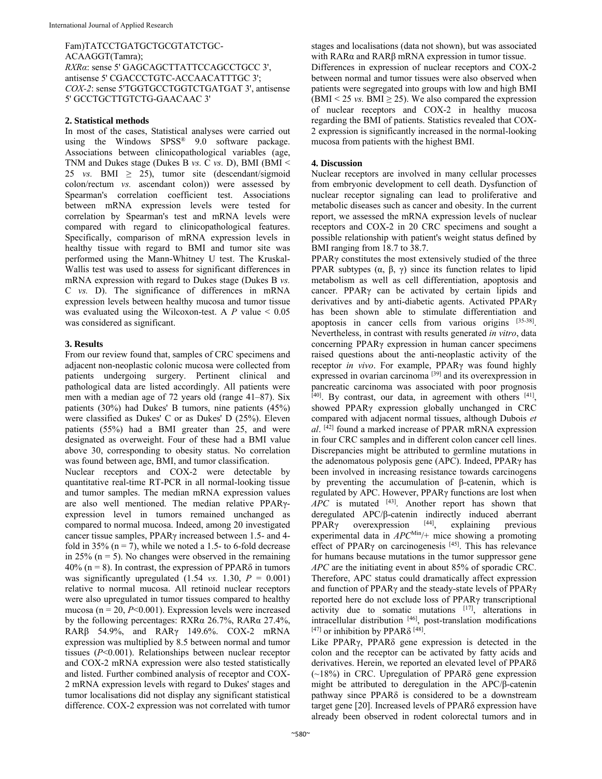Fam)TATCCTGATGCTGCGTATCTGC-ACAAGGT(Tamra); *RXRα*: sense 5' GAGCAGCTTATTCCAGCCTGCC 3', antisense 5' CGACCCTGTC-ACCAACATTTGC 3'; *COX-2*: sense 5'TGGTGCCTGGTCTGATGAT 3', antisense 5' GCCTGCTTGTCTG-GAACAAC 3'

#### **2. Statistical methods**

In most of the cases, Statistical analyses were carried out using the Windows SPSS<sup>®</sup> 9.0 software package. Associations between clinicopathological variables (age, TNM and Dukes stage (Dukes B *vs.* C *vs.* D), BMI (BMI < 25 *vs.* BMI  $\geq$  25), tumor site (descendant/sigmoid colon/rectum *vs.* ascendant colon)) were assessed by Spearman's correlation coefficient test. Associations between mRNA expression levels were tested for correlation by Spearman's test and mRNA levels were compared with regard to clinicopathological features. Specifically, comparison of mRNA expression levels in healthy tissue with regard to BMI and tumor site was performed using the Mann-Whitney U test. The Kruskal-Wallis test was used to assess for significant differences in mRNA expression with regard to Dukes stage (Dukes B *vs.* C *vs.* D). The significance of differences in mRNA expression levels between healthy mucosa and tumor tissue was evaluated using the Wilcoxon-test. A  $P$  value  $\leq 0.05$ was considered as significant.

# **3. Results**

From our review found that, samples of CRC specimens and adjacent non-neoplastic colonic mucosa were collected from patients undergoing surgery. Pertinent clinical and pathological data are listed accordingly. All patients were men with a median age of 72 years old (range 41–87). Six patients (30%) had Dukes' B tumors, nine patients (45%) were classified as Dukes' C or as Dukes' D (25%). Eleven patients (55%) had a BMI greater than 25, and were designated as overweight. Four of these had a BMI value above 30, corresponding to obesity status. No correlation was found between age, BMI, and tumor classification. Nuclear receptors and COX-2 were detectable by

quantitative real-time RT-PCR in all normal-looking tissue and tumor samples. The median mRNA expression values are also well mentioned. The median relative PPARγexpression level in tumors remained unchanged as compared to normal mucosa. Indeed, among 20 investigated cancer tissue samples, PPARγ increased between 1.5- and 4 fold in 35% ( $n = 7$ ), while we noted a 1.5- to 6-fold decrease in 25% ( $n = 5$ ). No changes were observed in the remaining  $40\%$  (n = 8). In contrast, the expression of PPAR $\delta$  in tumors was significantly upregulated  $(1.54 \text{ vs. } 1.30, P = 0.001)$ relative to normal mucosa. All retinoid nuclear receptors were also upregulated in tumor tissues compared to healthy mucosa ( $n = 20$ ,  $P < 0.001$ ). Expression levels were increased by the following percentages: RXRα 26.7%, RARα 27.4%, RARβ 54.9%, and RARγ 149.6%. COX-2 mRNA expression was multiplied by 8.5 between normal and tumor tissues (*P*<0.001). Relationships between nuclear receptor and COX-2 mRNA expression were also tested statistically and listed. Further combined analysis of receptor and COX-2 mRNA expression levels with regard to Dukes' stages and tumor localisations did not display any significant statistical difference. COX-2 expression was not correlated with tumor stages and localisations (data not shown), but was associated with RARα and RARβ mRNA expression in tumor tissue. Differences in expression of nuclear receptors and COX-2 between normal and tumor tissues were also observed when patients were segregated into groups with low and high BMI (BMI < 25 *vs.* BMI  $\geq$  25). We also compared the expression of nuclear receptors and COX-2 in healthy mucosa regarding the BMI of patients. Statistics revealed that COX-2 expression is significantly increased in the normal-looking mucosa from patients with the highest BMI.

# **4. Discussion**

Nuclear receptors are involved in many cellular processes from embryonic development to cell death. Dysfunction of nuclear receptor signaling can lead to proliferative and metabolic diseases such as cancer and obesity. In the current report, we assessed the mRNA expression levels of nuclear receptors and COX-2 in 20 CRC specimens and sought a possible relationship with patient's weight status defined by BMI ranging from 18.7 to 38.7.

PPARγ constitutes the most extensively studied of the three PPAR subtypes ( $\alpha$ ,  $\beta$ ,  $\gamma$ ) since its function relates to lipid metabolism as well as cell differentiation, apoptosis and cancer. PPARγ can be activated by certain lipids and derivatives and by anti-diabetic agents. Activated PPARγ has been shown able to stimulate differentiation and apoptosis in cancer cells from various origins [35-38]. Nevertheless, in contrast with results generated *in vitro*, data concerning PPARγ expression in human cancer specimens raised questions about the anti-neoplastic activity of the receptor *in vivo*. For example, PPARγ was found highly expressed in ovarian carcinoma<sup>[39]</sup> and its overexpression in pancreatic carcinoma was associated with poor prognosis  $[40]$ . By contrast, our data, in agreement with others  $[41]$ , showed PPARγ expression globally unchanged in CRC compared with adjacent normal tissues, although Dubois *et al*. [42] found a marked increase of PPAR mRNA expression in four CRC samples and in different colon cancer cell lines. Discrepancies might be attributed to germline mutations in the adenomatous polyposis gene (APC). Indeed, PPARγ has been involved in increasing resistance towards carcinogens by preventing the accumulation of β-catenin, which is regulated by APC. However, PPARγ functions are lost when *APC* is mutated <sup>[43]</sup>. Another report has shown that deregulated APC/β-catenin indirectly induced aberrant PPAR $\gamma$  overexpression <sup>[44]</sup>, explaining previous PPARγ overexpression  $[44]$ , explaining previous experimental data in *APC*Min/+ mice showing a promoting effect of PPARγ on carcinogenesis<sup>[45]</sup>. This has relevance for humans because mutations in the tumor suppressor gene *APC* are the initiating event in about 85% of sporadic CRC. Therefore, APC status could dramatically affect expression and function of PPARγ and the steady-state levels of PPARγ reported here do not exclude loss of PPARγ transcriptional activity due to somatic mutations [17], alterations in intracellular distribution [46], post-translation modifications [47] or inhibition by PPAR $\delta$ <sup>[48]</sup>.

Like PPARγ, PPARδ gene expression is detected in the colon and the receptor can be activated by fatty acids and derivatives. Herein, we reported an elevated level of PPARδ (~18%) in CRC. Upregulation of PPARδ gene expression might be attributed to deregulation in the APC/β-catenin pathway since PPARδ is considered to be a downstream target gene [20]. Increased levels of PPARδ expression have already been observed in rodent colorectal tumors and in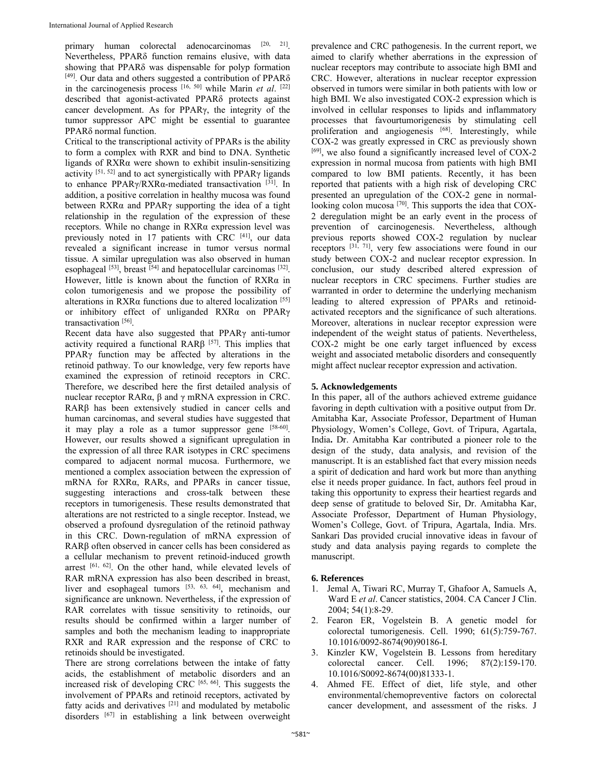primary human colorectal adenocarcinomas [20, 21]. Nevertheless, PPARδ function remains elusive, with data showing that PPARδ was dispensable for polyp formation  $[49]$ . Our data and others suggested a contribution of PPAR $\delta$ in the carcinogenesis process [16, 50] while Marin *et al*. [22] described that agonist-activated PPARδ protects against cancer development. As for PPARγ, the integrity of the tumor suppressor APC might be essential to guarantee PPARδ normal function.

Critical to the transcriptional activity of PPARs is the ability to form a complex with RXR and bind to DNA. Synthetic ligands of RXRα were shown to exhibit insulin-sensitizing activity  $[51, 52]$  and to act synergistically with PPAR $\gamma$  ligands to enhance PPARγ/RXRα-mediated transactivation [31]. In addition, a positive correlation in healthy mucosa was found between RXRα and PPARγ supporting the idea of a tight relationship in the regulation of the expression of these receptors. While no change in RXRα expression level was previously noted in 17 patients with CRC [41], our data revealed a significant increase in tumor versus normal tissue. A similar upregulation was also observed in human esophageal  $[53]$ , breast  $[54]$  and hepatocellular carcinomas  $[32]$ . However, little is known about the function of RXRα in colon tumorigenesis and we propose the possibility of alterations in RXR $\alpha$  functions due to altered localization [55] or inhibitory effect of unliganded RXRα on PPARγ transactivation [56].

Recent data have also suggested that PPARγ anti-tumor activity required a functional  $RAR\beta$ <sup>[57]</sup>. This implies that PPARγ function may be affected by alterations in the retinoid pathway. To our knowledge, very few reports have examined the expression of retinoid receptors in CRC. Therefore, we described here the first detailed analysis of nuclear receptor RARα, β and γ mRNA expression in CRC. RARB has been extensively studied in cancer cells and human carcinomas, and several studies have suggested that it may play a role as a tumor suppressor gene  $[58-60]$ . However, our results showed a significant upregulation in the expression of all three RAR isotypes in CRC specimens compared to adjacent normal mucosa. Furthermore, we mentioned a complex association between the expression of mRNA for RXRα, RARs, and PPARs in cancer tissue, suggesting interactions and cross-talk between these receptors in tumorigenesis. These results demonstrated that alterations are not restricted to a single receptor. Instead, we observed a profound dysregulation of the retinoid pathway in this CRC. Down-regulation of mRNA expression of RARβ often observed in cancer cells has been considered as a cellular mechanism to prevent retinoid-induced growth arrest [61, 62]. On the other hand, while elevated levels of RAR mRNA expression has also been described in breast, liver and esophageal tumors [53, 63, 64], mechanism and significance are unknown. Nevertheless, if the expression of RAR correlates with tissue sensitivity to retinoids, our results should be confirmed within a larger number of samples and both the mechanism leading to inappropriate RXR and RAR expression and the response of CRC to retinoids should be investigated.

There are strong correlations between the intake of fatty acids, the establishment of metabolic disorders and an increased risk of developing CRC  $[65, 66]$ . This suggests the involvement of PPARs and retinoid receptors, activated by fatty acids and derivatives [21] and modulated by metabolic disorders [67] in establishing a link between overweight

prevalence and CRC pathogenesis. In the current report, we aimed to clarify whether aberrations in the expression of nuclear receptors may contribute to associate high BMI and CRC. However, alterations in nuclear receptor expression observed in tumors were similar in both patients with low or high BMI. We also investigated COX-2 expression which is involved in cellular responses to lipids and inflammatory processes that favourtumorigenesis by stimulating cell proliferation and angiogenesis [68]. Interestingly, while COX-2 was greatly expressed in CRC as previously shown [69], we also found a significantly increased level of COX-2 expression in normal mucosa from patients with high BMI compared to low BMI patients. Recently, it has been reported that patients with a high risk of developing CRC presented an upregulation of the COX-2 gene in normallooking colon mucosa <sup>[70]</sup>. This supports the idea that COX-2 deregulation might be an early event in the process of prevention of carcinogenesis. Nevertheless, although previous reports showed COX-2 regulation by nuclear receptors <sup>[31, 71]</sup>, very few associations were found in our study between COX-2 and nuclear receptor expression. In conclusion, our study described altered expression of nuclear receptors in CRC specimens. Further studies are warranted in order to determine the underlying mechanism leading to altered expression of PPARs and retinoidactivated receptors and the significance of such alterations. Moreover, alterations in nuclear receptor expression were independent of the weight status of patients. Nevertheless, COX-2 might be one early target influenced by excess weight and associated metabolic disorders and consequently might affect nuclear receptor expression and activation.

### **5. Acknowledgements**

In this paper, all of the authors achieved extreme guidance favoring in depth cultivation with a positive output from Dr. Amitabha Kar, Associate Professor, Department of Human Physiology, Women's College, Govt. of Tripura, Agartala, India**.** Dr. Amitabha Kar contributed a pioneer role to the design of the study, data analysis, and revision of the manuscript. It is an established fact that every mission needs a spirit of dedication and hard work but more than anything else it needs proper guidance. In fact, authors feel proud in taking this opportunity to express their heartiest regards and deep sense of gratitude to beloved Sir, Dr. Amitabha Kar, Associate Professor, Department of Human Physiology, Women's College, Govt. of Tripura, Agartala, India. Mrs. Sankari Das provided crucial innovative ideas in favour of study and data analysis paying regards to complete the manuscript.

#### **6. References**

- 1. Jemal A, Tiwari RC, Murray T, Ghafoor A, Samuels A, Ward E *et al*. Cancer statistics, 2004. CA Cancer J Clin. 2004; 54(1):8-29.
- 2. Fearon ER, Vogelstein B. A genetic model for colorectal tumorigenesis. Cell. 1990; 61(5):759-767. 10.1016/0092-8674(90)90186-I.
- 3. Kinzler KW, Vogelstein B. Lessons from hereditary colorectal cancer. Cell. 1996; 87(2):159-170. 10.1016/S0092-8674(00)81333-1.
- 4. Ahmed FE. Effect of diet, life style, and other environmental/chemopreventive factors on colorectal cancer development, and assessment of the risks. J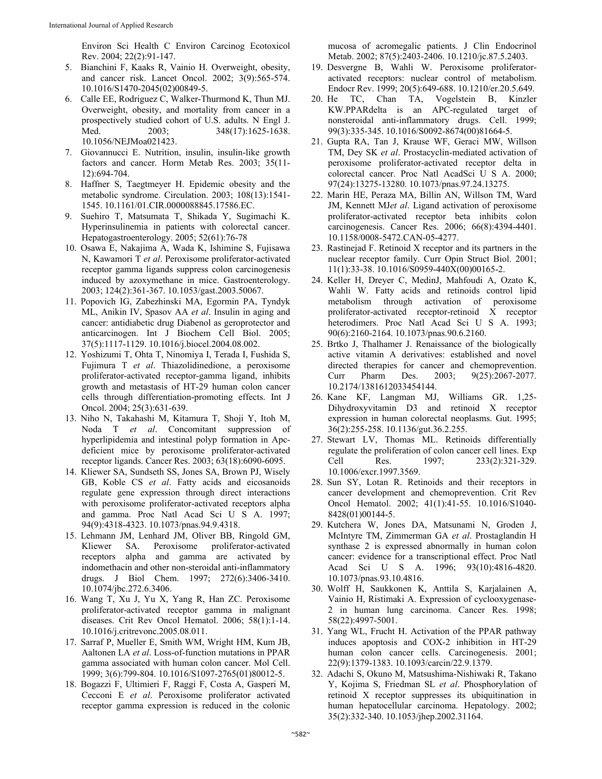Environ Sci Health C Environ Carcinog Ecotoxicol Rev. 2004; 22(2):91-147.

- 5. Bianchini F, Kaaks R, Vainio H. Overweight, obesity, and cancer risk. Lancet Oncol. 2002; 3(9):565-574. 10.1016/S1470-2045(02)00849-5.
- 6. Calle EE, Rodriguez C, Walker-Thurmond K, Thun MJ. Overweight, obesity, and mortality from cancer in a prospectively studied cohort of U.S. adults. N Engl J. Med. 2003; 348(17):1625-1638. 10.1056/NEJMoa021423.
- 7. Giovannucci E. Nutrition, insulin, insulin-like growth factors and cancer. Horm Metab Res. 2003; 35(11- 12):694-704.
- 8. Haffner S, Taegtmeyer H. Epidemic obesity and the metabolic syndrome. Circulation. 2003; 108(13):1541- 1545. 10.1161/01.CIR.0000088845.17586.EC.
- 9. Suehiro T, Matsumata T, Shikada Y, Sugimachi K. Hyperinsulinemia in patients with colorectal cancer. Hepatogastroenterology. 2005; 52(61):76-78
- 10. Osawa E, Nakajima A, Wada K, Ishimine S, Fujisawa N, Kawamori T *et al*. Peroxisome proliferator-activated receptor gamma ligands suppress colon carcinogenesis induced by azoxymethane in mice. Gastroenterology. 2003; 124(2):361-367. 10.1053/gast.2003.50067.
- 11. Popovich IG, Zabezhinski MA, Egormin PA, Tyndyk ML, Anikin IV, Spasov AA *et al*. Insulin in aging and cancer: antidiabetic drug Diabenol as geroprotector and anticarcinogen. Int J Biochem Cell Biol. 2005; 37(5):1117-1129. 10.1016/j.biocel.2004.08.002.
- 12. Yoshizumi T, Ohta T, Ninomiya I, Terada I, Fushida S, Fujimura T *et al*. Thiazolidinedione, a peroxisome proliferator-activated receptor-gamma ligand, inhibits growth and metastasis of HT-29 human colon cancer cells through differentiation-promoting effects. Int J Oncol. 2004; 25(3):631-639.
- 13. Niho N, Takahashi M, Kitamura T, Shoji Y, Itoh M, Noda T *et al*. Concomitant suppression of hyperlipidemia and intestinal polyp formation in Apcdeficient mice by peroxisome proliferator-activated receptor ligands. Cancer Res. 2003; 63(18):6090-6095.
- 14. Kliewer SA, Sundseth SS, Jones SA, Brown PJ, Wisely GB, Koble CS *et al*. Fatty acids and eicosanoids regulate gene expression through direct interactions with peroxisome proliferator-activated receptors alpha and gamma. Proc Natl Acad Sci U S A. 1997; 94(9):4318-4323. 10.1073/pnas.94.9.4318.
- 15. Lehmann JM, Lenhard JM, Oliver BB, Ringold GM, Kliewer SA. Peroxisome proliferator-activated receptors alpha and gamma are activated by indomethacin and other non-steroidal anti-inflammatory drugs. J Biol Chem. 1997; 272(6):3406-3410. 10.1074/jbc.272.6.3406.
- 16. Wang T, Xu J, Yu X, Yang R, Han ZC. Peroxisome proliferator-activated receptor gamma in malignant diseases. Crit Rev Oncol Hematol. 2006; 58(1):1-14. 10.1016/j.critrevonc.2005.08.011.
- 17. Sarraf P, Mueller E, Smith WM, Wright HM, Kum JB, Aaltonen LA *et al*. Loss-of-function mutations in PPAR gamma associated with human colon cancer. Mol Cell. 1999; 3(6):799-804. 10.1016/S1097-2765(01)80012-5.
- 18. Bogazzi F, Ultimieri F, Raggi F, Costa A, Gasperi M, Cecconi E *et al*. Peroxisome proliferator activated receptor gamma expression is reduced in the colonic

mucosa of acromegalic patients. J Clin Endocrinol Metab. 2002; 87(5):2403-2406. 10.1210/jc.87.5.2403.

- 19. Desvergne B, Wahli W. Peroxisome proliferatoractivated receptors: nuclear control of metabolism. Endocr Rev. 1999; 20(5):649-688. 10.1210/er.20.5.649.
- 20. He TC, Chan TA, Vogelstein B, Kinzler KW.PPARdelta is an APC-regulated target of nonsteroidal anti-inflammatory drugs. Cell. 1999; 99(3):335-345. 10.1016/S0092-8674(00)81664-5.
- 21. Gupta RA, Tan J, Krause WF, Geraci MW, Willson TM, Dey SK *et al*. Prostacyclin-mediated activation of peroxisome proliferator-activated receptor delta in colorectal cancer. Proc Natl AcadSci U S A. 2000; 97(24):13275-13280. 10.1073/pnas.97.24.13275.
- 22. Marin HE, Peraza MA, Billin AN, Willson TM, Ward JM, Kennett MJ*et al*. Ligand activation of peroxisome proliferator-activated receptor beta inhibits colon carcinogenesis. Cancer Res. 2006; 66(8):4394-4401. 10.1158/0008-5472.CAN-05-4277.
- 23. Rastinejad F. Retinoid X receptor and its partners in the nuclear receptor family. Curr Opin Struct Biol. 2001; 11(1):33-38. 10.1016/S0959-440X(00)00165-2.
- 24. Keller H, Dreyer C, MedinJ, Mahfoudi A, Ozato K, Wahli W. Fatty acids and retinoids control lipid metabolism through activation of peroxisome proliferator-activated receptor-retinoid X receptor heterodimers. Proc Natl Acad Sci U S A. 1993; 90(6):2160-2164. 10.1073/pnas.90.6.2160.
- 25. Brtko J, Thalhamer J. Renaissance of the biologically active vitamin A derivatives: established and novel directed therapies for cancer and chemoprevention. Curr Pharm Des. 2003; 9(25):2067-2077. 10.2174/1381612033454144.
- 26. Kane KF, Langman MJ, Williams GR. 1,25- Dihydroxyvitamin D3 and retinoid X receptor expression in human colorectal neoplasms. Gut. 1995; 36(2):255-258. 10.1136/gut.36.2.255.
- 27. Stewart LV, Thomas ML. Retinoids differentially regulate the proliferation of colon cancer cell lines. Exp Cell Res. 1997; 233(2):321-329. 10.1006/excr.1997.3569.
- 28. Sun SY, Lotan R. Retinoids and their receptors in cancer development and chemoprevention. Crit Rev Oncol Hematol. 2002; 41(1):41-55. 10.1016/S1040- 8428(01)00144-5.
- 29. Kutchera W, Jones DA, Matsunami N, Groden J, McIntyre TM, Zimmerman GA *et al*. Prostaglandin H synthase 2 is expressed abnormally in human colon cancer: evidence for a transcriptional effect. Proc Natl Acad Sci U S A. 1996; 93(10):4816-4820. 10.1073/pnas.93.10.4816.
- 30. Wolff H, Saukkonen K, Anttila S, Karjalainen A, Vainio H, Ristimaki A. Expression of cyclooxygenase-2 in human lung carcinoma. Cancer Res. 1998; 58(22):4997-5001.
- 31. Yang WL, Frucht H. Activation of the PPAR pathway induces apoptosis and COX-2 inhibition in HT-29 human colon cancer cells. Carcinogenesis. 2001; 22(9):1379-1383. 10.1093/carcin/22.9.1379.
- 32. Adachi S, Okuno M, Matsushima-Nishiwaki R, Takano Y, Kojima S, Friedman SL *et al*. Phosphorylation of retinoid X receptor suppresses its ubiquitination in human hepatocellular carcinoma. Hepatology. 2002; 35(2):332-340. 10.1053/jhep.2002.31164.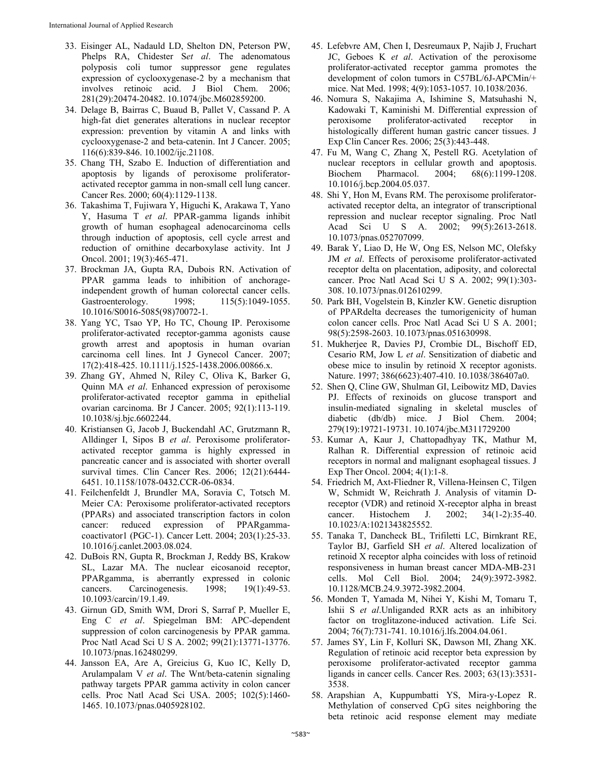- 33. Eisinger AL, Nadauld LD, Shelton DN, Peterson PW, Phelps RA, Chidester S*et al*. The adenomatous polyposis coli tumor suppressor gene regulates expression of cyclooxygenase-2 by a mechanism that involves retinoic acid. J Biol Chem. 2006; 281(29):20474-20482. 10.1074/jbc.M602859200.
- 34. Delage B, Bairras C, Buaud B, Pallet V, Cassand P. A high-fat diet generates alterations in nuclear receptor expression: prevention by vitamin A and links with cyclooxygenase-2 and beta-catenin. Int J Cancer. 2005; 116(6):839-846. 10.1002/ijc.21108.
- 35. Chang TH, Szabo E. Induction of differentiation and apoptosis by ligands of peroxisome proliferatoractivated receptor gamma in non-small cell lung cancer. Cancer Res. 2000; 60(4):1129-1138.
- 36. Takashima T, Fujiwara Y, Higuchi K, Arakawa T, Yano Y, Hasuma T *et al*. PPAR-gamma ligands inhibit growth of human esophageal adenocarcinoma cells through induction of apoptosis, cell cycle arrest and reduction of ornithine decarboxylase activity. Int J Oncol. 2001; 19(3):465-471.
- 37. Brockman JA, Gupta RA, Dubois RN. Activation of PPAR gamma leads to inhibition of anchorageindependent growth of human colorectal cancer cells. Gastroenterology. 1998; 115(5):1049-1055. 10.1016/S0016-5085(98)70072-1.
- 38. Yang YC, Tsao YP, Ho TC, Choung IP. Peroxisome proliferator-activated receptor-gamma agonists cause growth arrest and apoptosis in human ovarian carcinoma cell lines. Int J Gynecol Cancer. 2007; 17(2):418-425. 10.1111/j.1525-1438.2006.00866.x.
- 39. Zhang GY, Ahmed N, Riley C, Oliva K, Barker G, Quinn MA *et al*. Enhanced expression of peroxisome proliferator-activated receptor gamma in epithelial ovarian carcinoma. Br J Cancer. 2005; 92(1):113-119. 10.1038/sj.bjc.6602244.
- 40. Kristiansen G, Jacob J, Buckendahl AC, Grutzmann R, Alldinger I, Sipos B *et al*. Peroxisome proliferatoractivated receptor gamma is highly expressed in pancreatic cancer and is associated with shorter overall survival times. Clin Cancer Res. 2006; 12(21):6444- 6451. 10.1158/1078-0432.CCR-06-0834.
- 41. Feilchenfeldt J, Brundler MA, Soravia C, Totsch M. Meier CA: Peroxisome proliferator-activated receptors (PPARs) and associated transcription factors in colon cancer: reduced expression of PPARgammacoactivator1 (PGC-1). Cancer Lett. 2004; 203(1):25-33. 10.1016/j.canlet.2003.08.024.
- 42. DuBois RN, Gupta R, Brockman J, Reddy BS, Krakow SL, Lazar MA. The nuclear eicosanoid receptor, PPARgamma, is aberrantly expressed in colonic cancers. Carcinogenesis. 1998; 19(1):49-53. 10.1093/carcin/19.1.49.
- 43. Girnun GD, Smith WM, Drori S, Sarraf P, Mueller E, Eng C *et al*. Spiegelman BM: APC-dependent suppression of colon carcinogenesis by PPAR gamma. Proc Natl Acad Sci U S A. 2002; 99(21):13771-13776. 10.1073/pnas.162480299.
- 44. Jansson EA, Are A, Greicius G, Kuo IC, Kelly D, Arulampalam V *et al*. The Wnt/beta-catenin signaling pathway targets PPAR gamma activity in colon cancer cells. Proc Natl Acad Sci USA. 2005; 102(5):1460- 1465. 10.1073/pnas.0405928102.
- 45. Lefebvre AM, Chen I, Desreumaux P, Najib J, Fruchart JC, Geboes K *et al*. Activation of the peroxisome proliferator-activated receptor gamma promotes the development of colon tumors in C57BL/6J-APCMin/+ mice. Nat Med. 1998; 4(9):1053-1057. 10.1038/2036.
- 46. Nomura S, Nakajima A, Ishimine S, Matsuhashi N, Kadowaki T, Kaminishi M. Differential expression of peroxisome proliferator-activated receptor in histologically different human gastric cancer tissues. J Exp Clin Cancer Res. 2006; 25(3):443-448.
- 47. Fu M, Wang C, Zhang X, Pestell RG. Acetylation of nuclear receptors in cellular growth and apoptosis. Biochem Pharmacol. 2004; 68(6):1199-1208. 10.1016/j.bcp.2004.05.037.
- 48. Shi Y, Hon M, Evans RM. The peroxisome proliferatoractivated receptor delta, an integrator of transcriptional repression and nuclear receptor signaling. Proc Natl Acad Sci U S A. 2002; 99(5):2613-2618. 10.1073/pnas.052707099.
- 49. Barak Y, Liao D, He W, Ong ES, Nelson MC, Olefsky JM *et al*. Effects of peroxisome proliferator-activated receptor delta on placentation, adiposity, and colorectal cancer. Proc Natl Acad Sci U S A. 2002; 99(1):303- 308. 10.1073/pnas.012610299.
- 50. Park BH, Vogelstein B, Kinzler KW. Genetic disruption of PPARdelta decreases the tumorigenicity of human colon cancer cells. Proc Natl Acad Sci U S A. 2001; 98(5):2598-2603. 10.1073/pnas.051630998.
- 51. Mukherjee R, Davies PJ, Crombie DL, Bischoff ED, Cesario RM, Jow L *et al*. Sensitization of diabetic and obese mice to insulin by retinoid X receptor agonists. Nature. 1997; 386(6623):407-410. 10.1038/386407a0.
- 52. Shen Q, Cline GW, Shulman GI, Leibowitz MD, Davies PJ. Effects of rexinoids on glucose transport and insulin-mediated signaling in skeletal muscles of diabetic (db/db) mice. J Biol Chem. 2004; 279(19):19721-19731. 10.1074/jbc.M311729200
- 53. Kumar A, Kaur J, Chattopadhyay TK, Mathur M, Ralhan R. Differential expression of retinoic acid receptors in normal and malignant esophageal tissues. J Exp Ther Oncol. 2004; 4(1):1-8.
- 54. Friedrich M, Axt-Fliedner R, Villena-Heinsen C, Tilgen W, Schmidt W, Reichrath J. Analysis of vitamin Dreceptor (VDR) and retinoid X-receptor alpha in breast cancer. Histochem J. 2002; 34(1-2):35-40. 10.1023/A:1021343825552.
- 55. Tanaka T, Dancheck BL, Trifiletti LC, Birnkrant RE, Taylor BJ, Garfield SH *et al*. Altered localization of retinoid X receptor alpha coincides with loss of retinoid responsiveness in human breast cancer MDA-MB-231 cells. Mol Cell Biol. 2004; 24(9):3972-3982. 10.1128/MCB.24.9.3972-3982.2004.
- 56. Monden T, Yamada M, Nihei Y, Kishi M, Tomaru T, Ishii S *et al*.Unliganded RXR acts as an inhibitory factor on troglitazone-induced activation. Life Sci. 2004; 76(7):731-741. 10.1016/j.lfs.2004.04.061.
- 57. James SY, Lin F, Kolluri SK, Dawson MI, Zhang XK. Regulation of retinoic acid receptor beta expression by peroxisome proliferator-activated receptor gamma ligands in cancer cells. Cancer Res. 2003; 63(13):3531- 3538.
- 58. Arapshian A, Kuppumbatti YS, Mira-y-Lopez R. Methylation of conserved CpG sites neighboring the beta retinoic acid response element may mediate